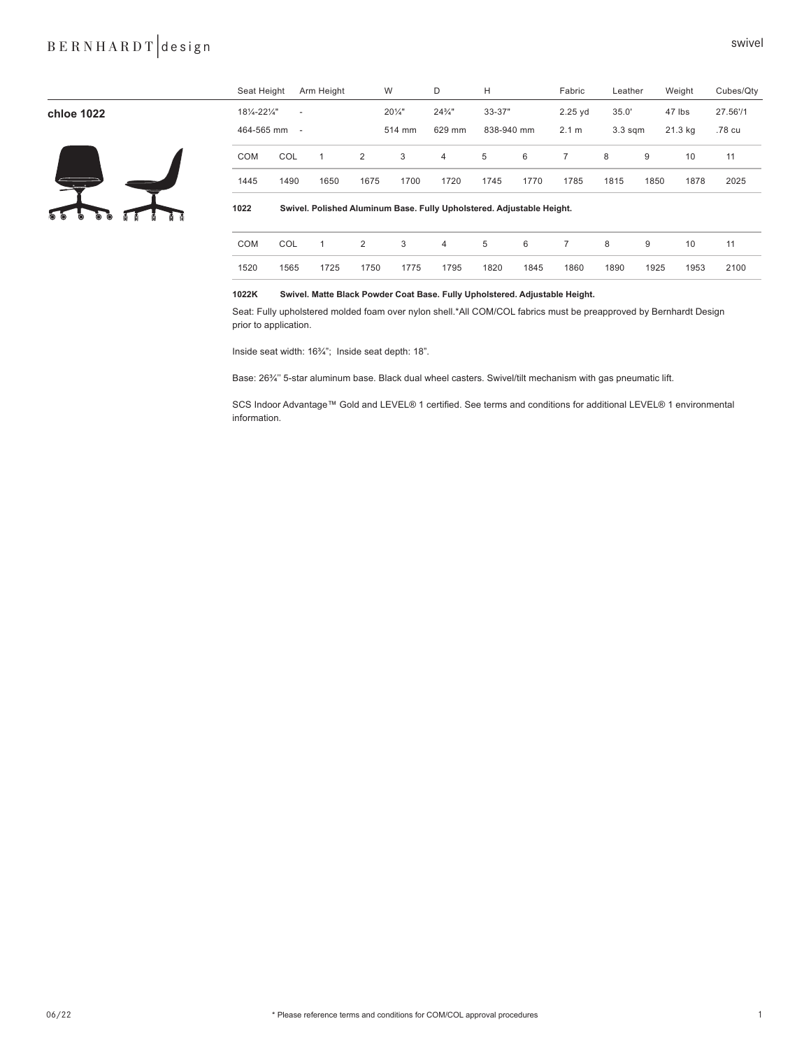## B E R N H A R D T design swivel

| chloe 1022                        | 181/4-221/4"<br>464-565 mm | $\overline{\phantom{a}}$<br>$\overline{\phantom{a}}$                  |      |      | $20\frac{1}{4}$<br>514 mm | $24\frac{3}{4}$ "<br>629 mm |      | 33-37"<br>838-940 mm |                | 35.0'<br>3.3 <sub>sgm</sub> |      | 47 lbs<br>21.3 kg | 27.56'/1<br>.78 cu |
|-----------------------------------|----------------------------|-----------------------------------------------------------------------|------|------|---------------------------|-----------------------------|------|----------------------|----------------|-----------------------------|------|-------------------|--------------------|
|                                   | COM                        | COL                                                                   | 1    | 2    | 3                         | $\overline{4}$              | 5    | 6                    | $\overline{7}$ | 8                           | 9    | 10                | 11                 |
| 写                                 | 1445                       | 1490                                                                  | 1650 | 1675 | 1700                      | 1720                        | 1745 | 1770                 | 1785           | 1815                        | 1850 | 1878              | 2025               |
| $\overline{\circ}$<br>O<br>Ò<br>O | 1022                       | Swivel. Polished Aluminum Base. Fully Upholstered. Adjustable Height. |      |      |                           |                             |      |                      |                |                             |      |                   |                    |
|                                   | COM                        | COL                                                                   | 1    | 2    | 3                         | 4                           | 5    | 6                    | $\overline{7}$ | 8                           | 9    | 10                | 11                 |
|                                   | 1520                       | 1565                                                                  | 1725 | 1750 | 1775                      | 1795                        | 1820 | 1845                 | 1860           | 1890                        | 1925 | 1953              | 2100               |

### **1022K Swivel. Matte Black Powder Coat Base. Fully Upholstered. Adjustable Height.**

Seat: Fully upholstered molded foam over nylon shell.\*All COM/COL fabrics must be preapproved by Bernhardt Design prior to application.

Seat Height Arm Height W D H Fabric Leather Weight Cubes/Qty

Inside seat width: 16¾"; Inside seat depth: 18".

Base: 26¾'' 5-star aluminum base. Black dual wheel casters. Swivel/tilt mechanism with gas pneumatic lift.

SCS Indoor Advantage™ Gold and LEVEL® 1 certified. See terms and conditions for additional LEVEL® 1 environmental information.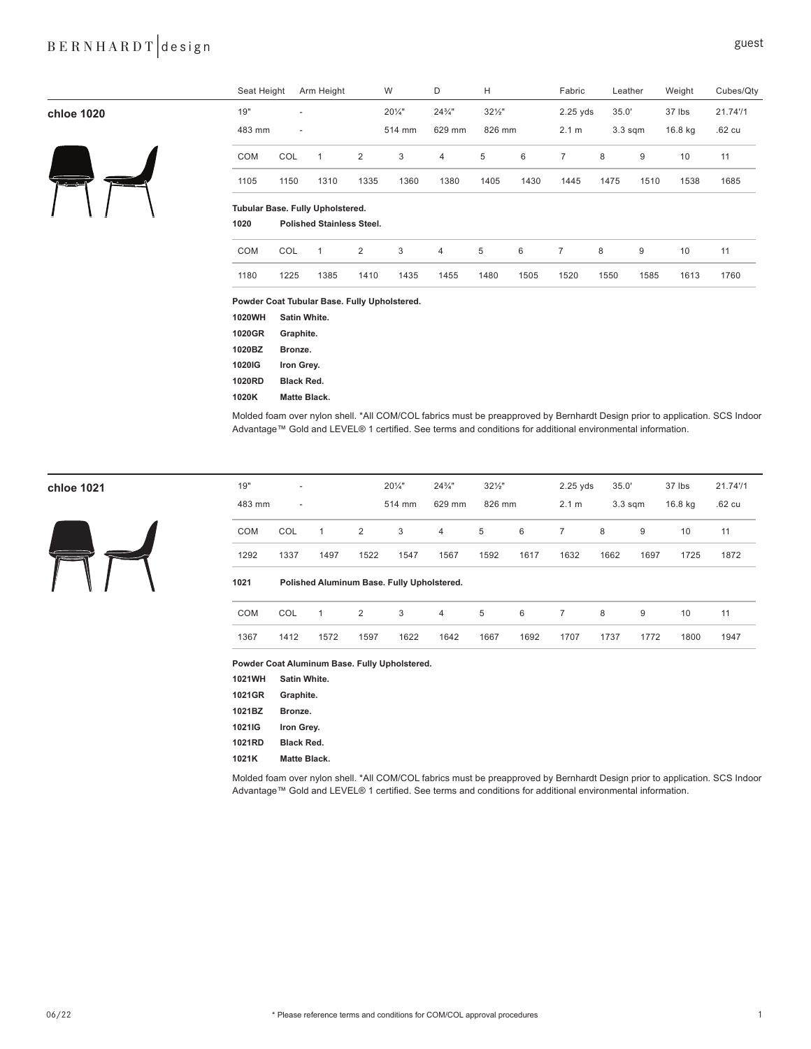## BERNHARDT design suest

|            | Seat Height                                  |                          | Arm Height                       |      | W                 | D                 | н                 |      | Fabric         |       | Leather   | Weight  | Cubes/Qty         |
|------------|----------------------------------------------|--------------------------|----------------------------------|------|-------------------|-------------------|-------------------|------|----------------|-------|-----------|---------|-------------------|
| chloe 1020 | 19"                                          | ٠                        |                                  |      | $20\frac{1}{4}$ " | $24\frac{3}{4}$ " | $32\frac{1}{2}$ " |      | $2.25$ yds     | 35.0' |           | 37 lbs  | 21.7471           |
|            | 483 mm                                       | $\overline{\phantom{a}}$ |                                  |      | 514 mm            | 629 mm            | 826 mm            |      | 2.1 m          |       | $3.3$ sqm | 16.8 kg | .62 <sub>cu</sub> |
|            | COM                                          | COL                      | $\mathbf{1}$                     | 2    | 3                 | 4                 | 5                 | 6    | $\overline{7}$ | 8     | 9         | 10      | 11                |
| كالمترى    | 1105                                         | 1150                     | 1310                             | 1335 | 1360              | 1380              | 1405              | 1430 | 1445           | 1475  | 1510      | 1538    | 1685              |
|            | Tubular Base. Fully Upholstered.             |                          |                                  |      |                   |                   |                   |      |                |       |           |         |                   |
|            | 1020                                         |                          | <b>Polished Stainless Steel.</b> |      |                   |                   |                   |      |                |       |           |         |                   |
|            | COM                                          | COL                      | $\mathbf{1}$                     | 2    | 3                 | 4                 | 5                 | 6    | $\overline{7}$ | 8     | 9         | 10      | 11                |
|            | 1180                                         | 1225                     | 1385                             | 1410 | 1435              | 1455              | 1480              | 1505 | 1520           | 1550  | 1585      | 1613    | 1760              |
|            | Powder Coat Tubular Base. Fully Upholstered. |                          |                                  |      |                   |                   |                   |      |                |       |           |         |                   |
|            | 1020WH                                       | Satin White.             |                                  |      |                   |                   |                   |      |                |       |           |         |                   |
|            | 1020CD                                       | $C$ ronhito              |                                  |      |                   |                   |                   |      |                |       |           |         |                   |

**1020GR Graphite. 1020BZ Bronze. 1020IG Iron Grey. 1020RD Black Red.** 

**1020K Matte Black.**

Molded foam over nylon shell. \*All COM/COL fabrics must be preapproved by Bernhardt Design prior to application. SCS Indoor Advantage™ Gold and LEVEL® 1 certified. See terms and conditions for additional environmental information.



| chloe 1021 | 19"    | $\overline{\phantom{a}}$ |      |                | $20\frac{1}{4}$ " | $24\frac{3}{4}$ " | $32\frac{1}{2}$ |      | $2.25$ yds | 35.0'     |      | 37 lbs  | 21.74'/1 |
|------------|--------|--------------------------|------|----------------|-------------------|-------------------|-----------------|------|------------|-----------|------|---------|----------|
|            | 483 mm | $\overline{\phantom{a}}$ |      |                | 514 mm            | 629 mm            | 826 mm          |      | 2.1 m      | $3.3$ sqm |      | 16.8 kg | .62 cu   |
|            | COM    | <b>COL</b>               |      | $\overline{2}$ | 3                 | $\overline{4}$    | 5               | 6    |            | 8         | 9    | 10      | 11       |
|            | 1292   | 1337                     | 1497 | 1522           | 1547              | 1567              | 1592            | 1617 | 1632       | 1662      | 1697 | 1725    | 1872     |
|            |        |                          |      |                |                   |                   |                 |      |            |           |      |         |          |

### **1021 Polished Aluminum Base. Fully Upholstered.**

|      |           |      |      |      |      |  | COM COL 1 2 3 4 5 6 7 8 9 10 11 |  |  |
|------|-----------|------|------|------|------|--|---------------------------------|--|--|
| 1367 | 1412 1572 | 1597 | 1622 | 1642 | 1667 |  | 1692 1707 1737 1772 1800 1947   |  |  |

**Powder Coat Aluminum Base. Fully Upholstered.**

| 1021WH | Satin White.      |
|--------|-------------------|
| 1021GR | Graphite.         |
| 1021BZ | Bronze.           |
| 1021IG | Iron Grey.        |
| 1021RD | <b>Black Red.</b> |
| 1021K  | Matte Black.      |

Molded foam over nylon shell. \*All COM/COL fabrics must be preapproved by Bernhardt Design prior to application. SCS Indoor Advantage™ Gold and LEVEL® 1 certified. See terms and conditions for additional environmental information.